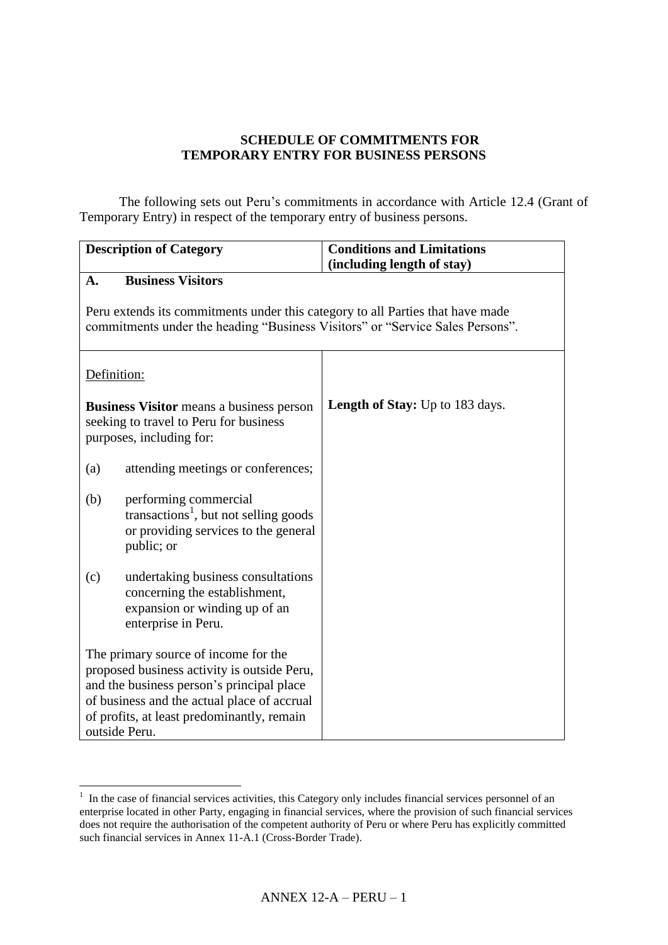## **SCHEDULE OF COMMITMENTS FOR TEMPORARY ENTRY FOR BUSINESS PERSONS**

The following sets out Peru's commitments in accordance with Article 12.4 (Grant of Temporary Entry) in respect of the temporary entry of business persons.

| <b>Description of Category</b>                                                                                                                                                                                                                 |                                                                                                                                                                 | <b>Conditions and Limitations</b> |  |
|------------------------------------------------------------------------------------------------------------------------------------------------------------------------------------------------------------------------------------------------|-----------------------------------------------------------------------------------------------------------------------------------------------------------------|-----------------------------------|--|
| A.                                                                                                                                                                                                                                             | <b>Business Visitors</b>                                                                                                                                        | (including length of stay)        |  |
|                                                                                                                                                                                                                                                | Peru extends its commitments under this category to all Parties that have made<br>commitments under the heading "Business Visitors" or "Service Sales Persons". |                                   |  |
| Definition:                                                                                                                                                                                                                                    |                                                                                                                                                                 |                                   |  |
| <b>Business Visitor</b> means a business person<br>seeking to travel to Peru for business<br>purposes, including for:                                                                                                                          |                                                                                                                                                                 | Length of Stay: Up to 183 days.   |  |
| (a)                                                                                                                                                                                                                                            | attending meetings or conferences;                                                                                                                              |                                   |  |
| (b)                                                                                                                                                                                                                                            | performing commercial<br>transactions <sup>1</sup> , but not selling goods<br>or providing services to the general<br>public; or                                |                                   |  |
| undertaking business consultations<br>(c)<br>concerning the establishment,<br>expansion or winding up of an<br>enterprise in Peru.                                                                                                             |                                                                                                                                                                 |                                   |  |
| The primary source of income for the<br>proposed business activity is outside Peru,<br>and the business person's principal place<br>of business and the actual place of accrual<br>of profits, at least predominantly, remain<br>outside Peru. |                                                                                                                                                                 |                                   |  |

 1 In the case of financial services activities, this Category only includes financial services personnel of an enterprise located in other Party, engaging in financial services, where the provision of such financial services does not require the authorisation of the competent authority of Peru or where Peru has explicitly committed such financial services in Annex 11-A.1 (Cross-Border Trade).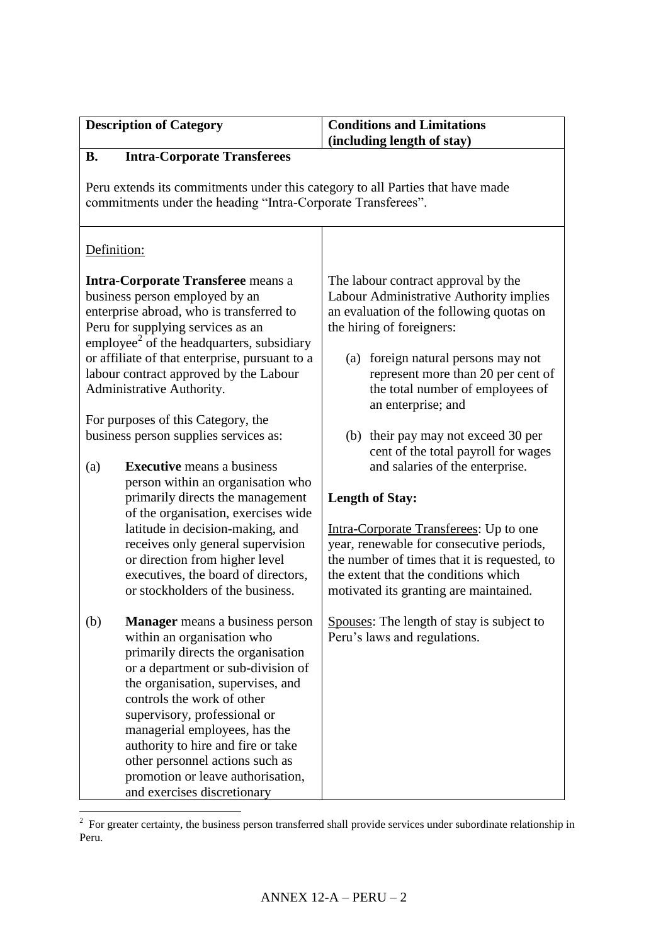| <b>Description of Category</b>                                                                                                                                                                                                                                                                                                                                                                                                |                                                                                                                                                                                                                                                                                                                                                                                                                                   | <b>Conditions and Limitations</b><br>(including length of stay)                                                                                                                                                                                                                                                                                                                 |
|-------------------------------------------------------------------------------------------------------------------------------------------------------------------------------------------------------------------------------------------------------------------------------------------------------------------------------------------------------------------------------------------------------------------------------|-----------------------------------------------------------------------------------------------------------------------------------------------------------------------------------------------------------------------------------------------------------------------------------------------------------------------------------------------------------------------------------------------------------------------------------|---------------------------------------------------------------------------------------------------------------------------------------------------------------------------------------------------------------------------------------------------------------------------------------------------------------------------------------------------------------------------------|
| <b>B.</b>                                                                                                                                                                                                                                                                                                                                                                                                                     | <b>Intra-Corporate Transferees</b>                                                                                                                                                                                                                                                                                                                                                                                                |                                                                                                                                                                                                                                                                                                                                                                                 |
| Peru extends its commitments under this category to all Parties that have made<br>commitments under the heading "Intra-Corporate Transferees".                                                                                                                                                                                                                                                                                |                                                                                                                                                                                                                                                                                                                                                                                                                                   |                                                                                                                                                                                                                                                                                                                                                                                 |
| Definition:                                                                                                                                                                                                                                                                                                                                                                                                                   |                                                                                                                                                                                                                                                                                                                                                                                                                                   |                                                                                                                                                                                                                                                                                                                                                                                 |
| <b>Intra-Corporate Transferee</b> means a<br>business person employed by an<br>enterprise abroad, who is transferred to<br>Peru for supplying services as an<br>employee <sup>2</sup> of the headquarters, subsidiary<br>or affiliate of that enterprise, pursuant to a<br>labour contract approved by the Labour<br>Administrative Authority.<br>For purposes of this Category, the<br>business person supplies services as: |                                                                                                                                                                                                                                                                                                                                                                                                                                   | The labour contract approval by the<br>Labour Administrative Authority implies<br>an evaluation of the following quotas on<br>the hiring of foreigners:<br>foreign natural persons may not<br>(a)<br>represent more than 20 per cent of<br>the total number of employees of<br>an enterprise; and<br>(b) their pay may not exceed 30 per<br>cent of the total payroll for wages |
| (a)                                                                                                                                                                                                                                                                                                                                                                                                                           | <b>Executive</b> means a business<br>person within an organisation who<br>primarily directs the management<br>of the organisation, exercises wide<br>latitude in decision-making, and<br>receives only general supervision<br>or direction from higher level<br>executives, the board of directors,<br>or stockholders of the business.                                                                                           | and salaries of the enterprise.<br><b>Length of Stay:</b><br>Intra-Corporate Transferees: Up to one<br>year, renewable for consecutive periods,<br>the number of times that it is requested, to<br>the extent that the conditions which<br>motivated its granting are maintained.                                                                                               |
| (b)                                                                                                                                                                                                                                                                                                                                                                                                                           | <b>Manager</b> means a business person<br>within an organisation who<br>primarily directs the organisation<br>or a department or sub-division of<br>the organisation, supervises, and<br>controls the work of other<br>supervisory, professional or<br>managerial employees, has the<br>authority to hire and fire or take<br>other personnel actions such as<br>promotion or leave authorisation,<br>and exercises discretionary | Spouses: The length of stay is subject to<br>Peru's laws and regulations.                                                                                                                                                                                                                                                                                                       |

<sup>&</sup>lt;sup>2</sup> For greater certainty, the business person transferred shall provide services under subordinate relationship in Peru.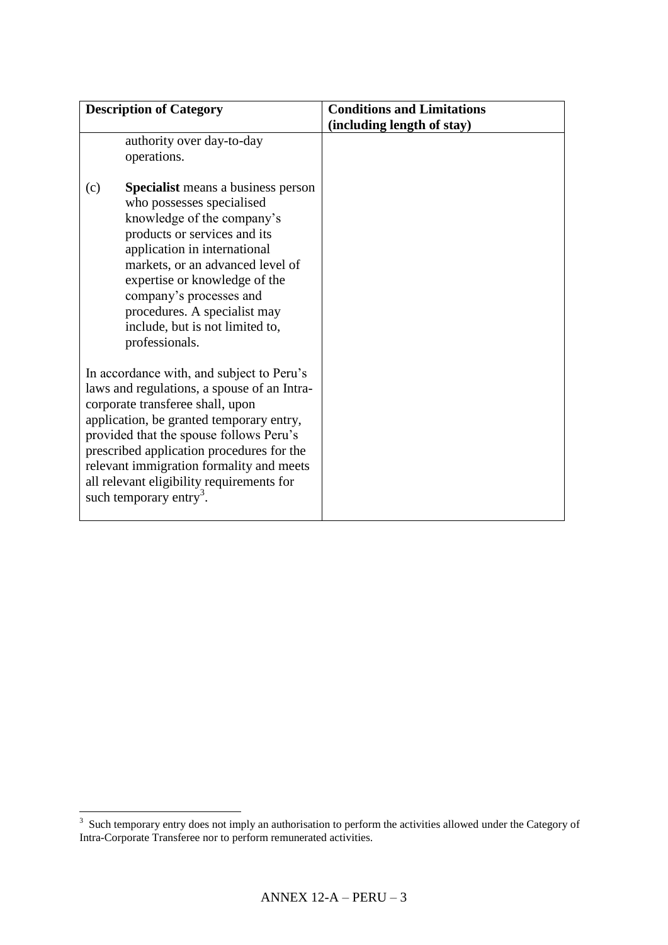| <b>Description of Category</b>                                                                                                                                                                                                                                                                                                                                                                   | <b>Conditions and Limitations</b> |
|--------------------------------------------------------------------------------------------------------------------------------------------------------------------------------------------------------------------------------------------------------------------------------------------------------------------------------------------------------------------------------------------------|-----------------------------------|
|                                                                                                                                                                                                                                                                                                                                                                                                  | (including length of stay)        |
| authority over day-to-day<br>operations.                                                                                                                                                                                                                                                                                                                                                         |                                   |
| <b>Specialist</b> means a business person<br>(c)<br>who possesses specialised<br>knowledge of the company's<br>products or services and its<br>application in international<br>markets, or an advanced level of<br>expertise or knowledge of the<br>company's processes and<br>procedures. A specialist may<br>include, but is not limited to,<br>professionals.                                 |                                   |
| In accordance with, and subject to Peru's<br>laws and regulations, a spouse of an Intra-<br>corporate transferee shall, upon<br>application, be granted temporary entry,<br>provided that the spouse follows Peru's<br>prescribed application procedures for the<br>relevant immigration formality and meets<br>all relevant eligibility requirements for<br>such temporary entry <sup>3</sup> . |                                   |

<sup>&</sup>lt;sup>3</sup> Such temporary entry does not imply an authorisation to perform the activities allowed under the Category of Intra-Corporate Transferee nor to perform remunerated activities.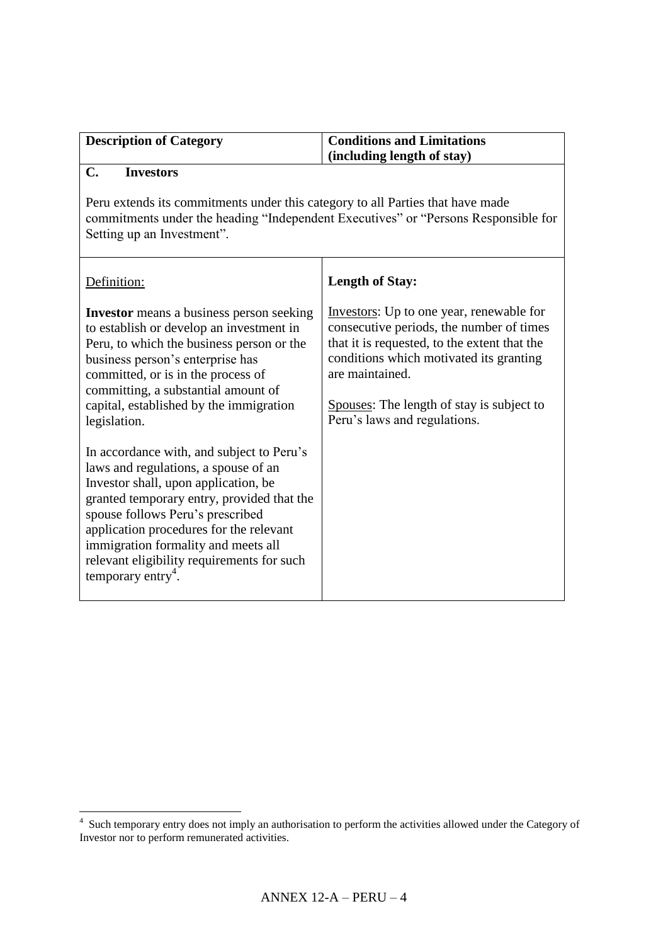| <b>Description of Category</b> | <b>Conditions and Limitations</b> |
|--------------------------------|-----------------------------------|
|                                | $\int$ (including length of stay) |
| --                             |                                   |

## **C. Investors**

Peru extends its commitments under this category to all Parties that have made commitments under the heading "Independent Executives" or "Persons Responsible for Setting up an Investment".

| Definition:                                                                                                                                                                                                                                                                                                                                                                    | <b>Length of Stay:</b>                                                                                                                                                                                                                                                          |
|--------------------------------------------------------------------------------------------------------------------------------------------------------------------------------------------------------------------------------------------------------------------------------------------------------------------------------------------------------------------------------|---------------------------------------------------------------------------------------------------------------------------------------------------------------------------------------------------------------------------------------------------------------------------------|
| <b>Investor</b> means a business person seeking<br>to establish or develop an investment in<br>Peru, to which the business person or the<br>business person's enterprise has<br>committed, or is in the process of<br>committing, a substantial amount of<br>capital, established by the immigration<br>legislation.                                                           | Investors: Up to one year, renewable for<br>consecutive periods, the number of times<br>that it is requested, to the extent that the<br>conditions which motivated its granting<br>are maintained.<br>Spouses: The length of stay is subject to<br>Peru's laws and regulations. |
| In accordance with, and subject to Peru's<br>laws and regulations, a spouse of an<br>Investor shall, upon application, be.<br>granted temporary entry, provided that the<br>spouse follows Peru's prescribed<br>application procedures for the relevant<br>immigration formality and meets all<br>relevant eligibility requirements for such<br>temporary entry <sup>4</sup> . |                                                                                                                                                                                                                                                                                 |

 4 Such temporary entry does not imply an authorisation to perform the activities allowed under the Category of Investor nor to perform remunerated activities.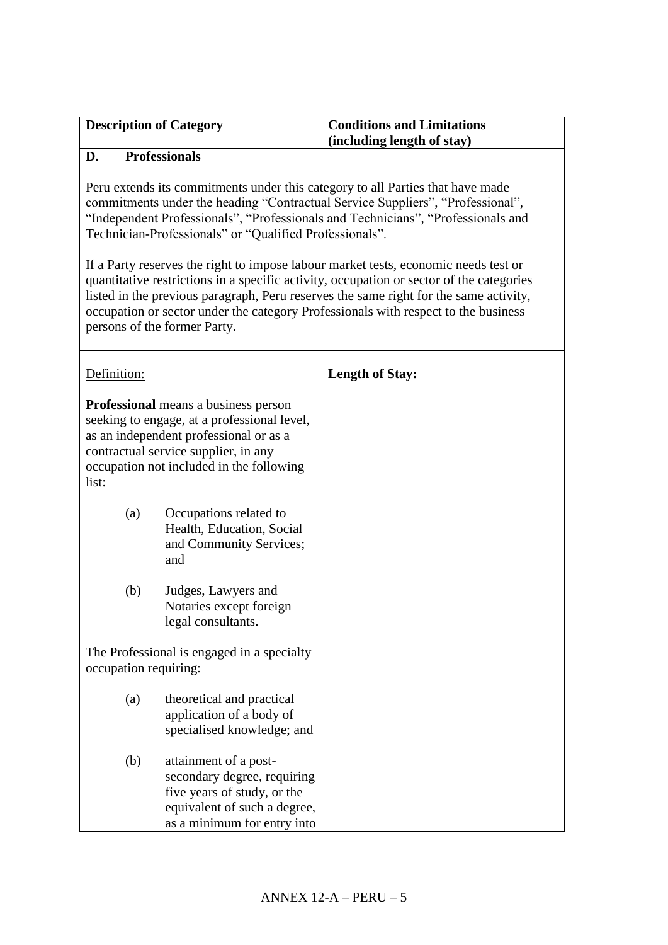| <b>Description of Category</b> | <b>Conditions and Limitations</b> |
|--------------------------------|-----------------------------------|
|                                | $\int$ (including length of stay) |

## **D. Professionals**

Peru extends its commitments under this category to all Parties that have made commitments under the heading "Contractual Service Suppliers", "Professional", "Independent Professionals", "Professionals and Technicians", "Professionals and Technician-Professionals" or "Qualified Professionals".

If a Party reserves the right to impose labour market tests, economic needs test or quantitative restrictions in a specific activity, occupation or sector of the categories listed in the previous paragraph, Peru reserves the same right for the same activity, occupation or sector under the category Professionals with respect to the business persons of the former Party.

| Definition:                                                                                                                                                                                                                       |                                                                                                                                                    | <b>Length of Stay:</b> |
|-----------------------------------------------------------------------------------------------------------------------------------------------------------------------------------------------------------------------------------|----------------------------------------------------------------------------------------------------------------------------------------------------|------------------------|
| <b>Professional</b> means a business person<br>seeking to engage, at a professional level,<br>as an independent professional or as a<br>contractual service supplier, in any<br>occupation not included in the following<br>list: |                                                                                                                                                    |                        |
| (a)                                                                                                                                                                                                                               | Occupations related to<br>Health, Education, Social<br>and Community Services;<br>and                                                              |                        |
| (b)                                                                                                                                                                                                                               | Judges, Lawyers and<br>Notaries except foreign<br>legal consultants.                                                                               |                        |
| The Professional is engaged in a specialty<br>occupation requiring:                                                                                                                                                               |                                                                                                                                                    |                        |
| (a)                                                                                                                                                                                                                               | theoretical and practical<br>application of a body of<br>specialised knowledge; and                                                                |                        |
| (b)                                                                                                                                                                                                                               | attainment of a post-<br>secondary degree, requiring<br>five years of study, or the<br>equivalent of such a degree,<br>as a minimum for entry into |                        |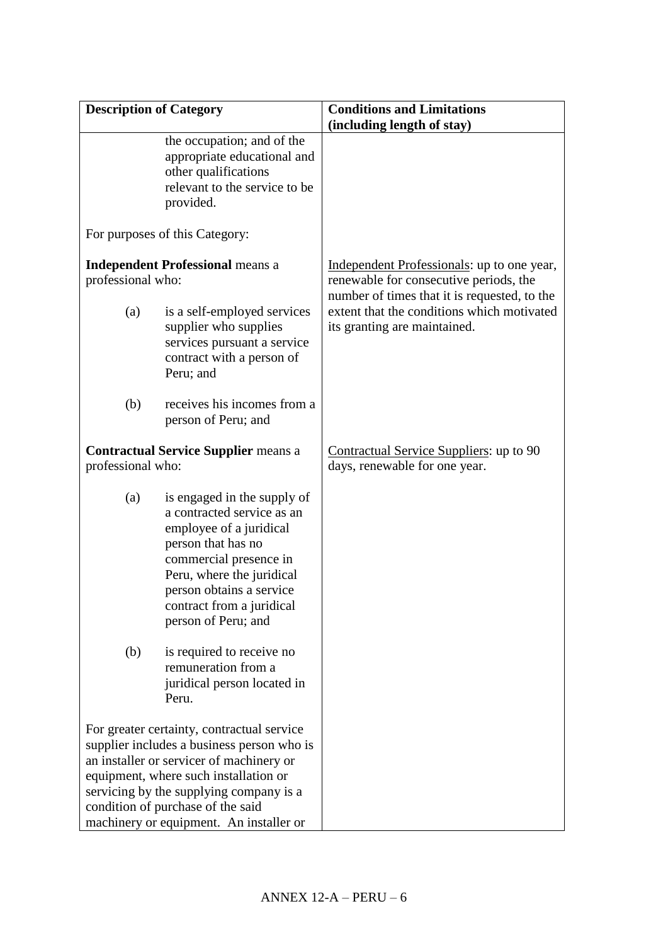| <b>Description of Category</b>                                                                                                                                                                                                                                                                           |                                                                                                                                                                                                                                                   | <b>Conditions and Limitations</b>                                                                                                    |
|----------------------------------------------------------------------------------------------------------------------------------------------------------------------------------------------------------------------------------------------------------------------------------------------------------|---------------------------------------------------------------------------------------------------------------------------------------------------------------------------------------------------------------------------------------------------|--------------------------------------------------------------------------------------------------------------------------------------|
|                                                                                                                                                                                                                                                                                                          |                                                                                                                                                                                                                                                   | (including length of stay)                                                                                                           |
|                                                                                                                                                                                                                                                                                                          | the occupation; and of the<br>appropriate educational and<br>other qualifications<br>relevant to the service to be<br>provided.                                                                                                                   |                                                                                                                                      |
|                                                                                                                                                                                                                                                                                                          | For purposes of this Category:                                                                                                                                                                                                                    |                                                                                                                                      |
| professional who:                                                                                                                                                                                                                                                                                        | <b>Independent Professional means a</b>                                                                                                                                                                                                           | Independent Professionals: up to one year,<br>renewable for consecutive periods, the<br>number of times that it is requested, to the |
| (a)                                                                                                                                                                                                                                                                                                      | is a self-employed services<br>supplier who supplies<br>services pursuant a service<br>contract with a person of<br>Peru; and                                                                                                                     | extent that the conditions which motivated<br>its granting are maintained.                                                           |
| (b)                                                                                                                                                                                                                                                                                                      | receives his incomes from a<br>person of Peru; and                                                                                                                                                                                                |                                                                                                                                      |
| <b>Contractual Service Supplier means a</b><br>professional who:                                                                                                                                                                                                                                         |                                                                                                                                                                                                                                                   | Contractual Service Suppliers: up to 90<br>days, renewable for one year.                                                             |
| (a)                                                                                                                                                                                                                                                                                                      | is engaged in the supply of<br>a contracted service as an<br>employee of a juridical<br>person that has no<br>commercial presence in<br>Peru, where the juridical<br>person obtains a service<br>contract from a juridical<br>person of Peru; and |                                                                                                                                      |
| (b)                                                                                                                                                                                                                                                                                                      | is required to receive no<br>remuneration from a<br>juridical person located in<br>Peru.                                                                                                                                                          |                                                                                                                                      |
| For greater certainty, contractual service<br>supplier includes a business person who is<br>an installer or servicer of machinery or<br>equipment, where such installation or<br>servicing by the supplying company is a<br>condition of purchase of the said<br>machinery or equipment. An installer or |                                                                                                                                                                                                                                                   |                                                                                                                                      |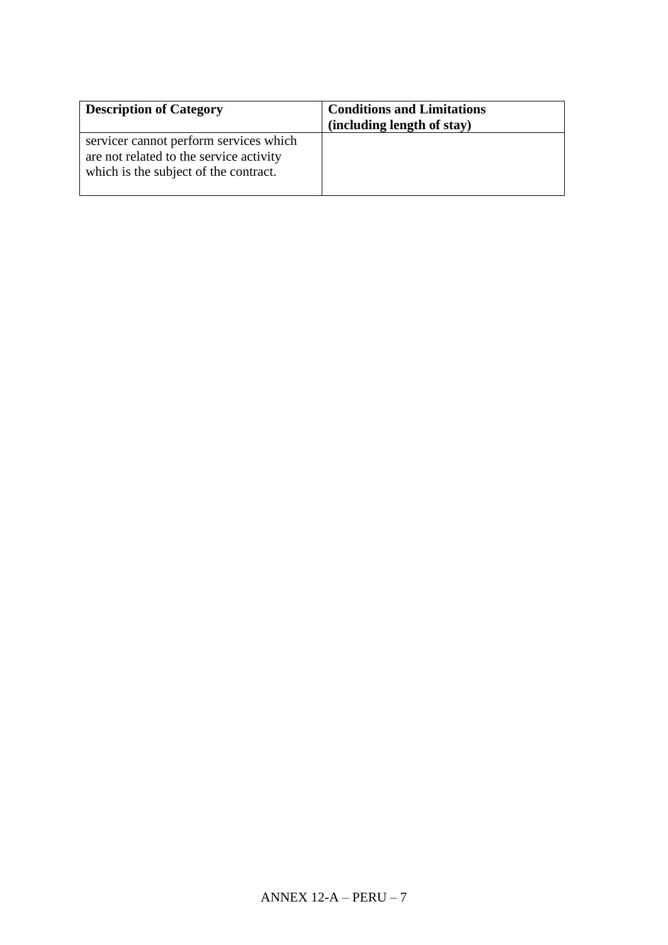| <b>Description of Category</b>                                                                                             | <b>Conditions and Limitations</b><br>(including length of stay) |
|----------------------------------------------------------------------------------------------------------------------------|-----------------------------------------------------------------|
| servicer cannot perform services which<br>are not related to the service activity<br>which is the subject of the contract. |                                                                 |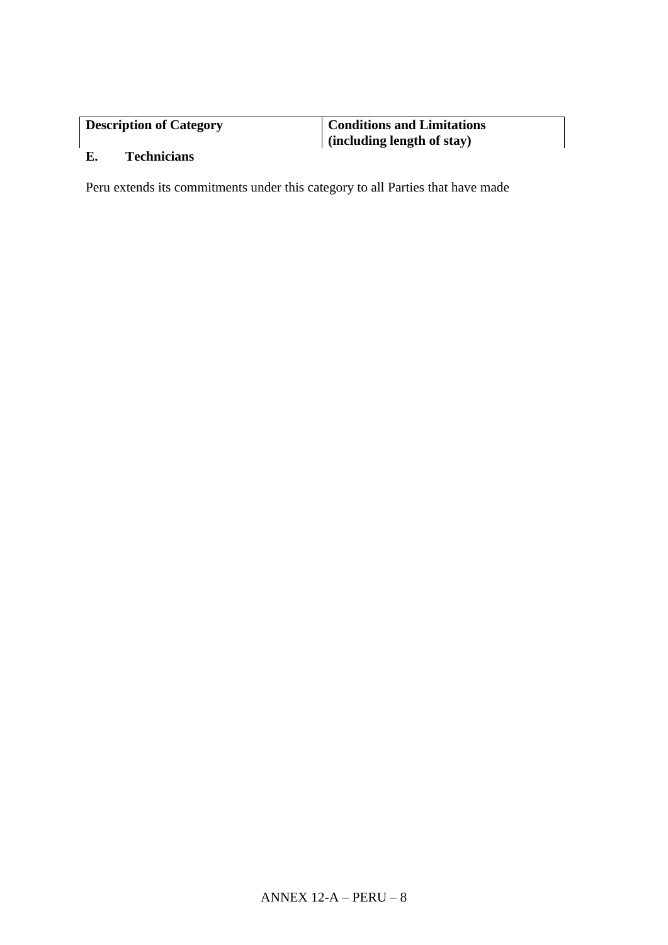| <b>Description of Category</b> | <b>Conditions and Limitations</b> |
|--------------------------------|-----------------------------------|
|                                | $\int$ (including length of stay) |

## **E. Technicians**

Peru extends its commitments under this category to all Parties that have made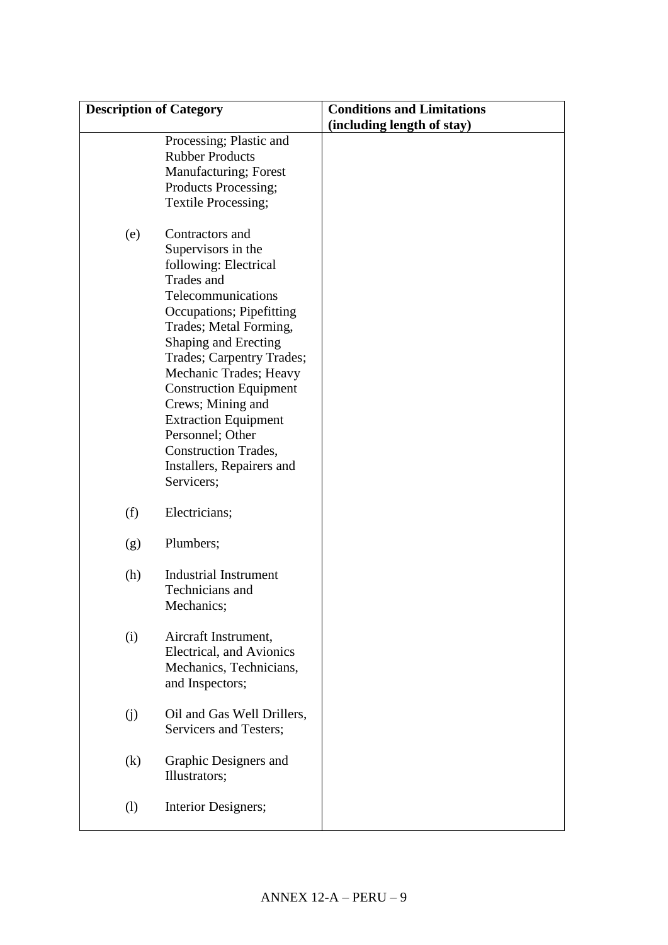| <b>Description of Category</b> |                                                 | <b>Conditions and Limitations</b> |
|--------------------------------|-------------------------------------------------|-----------------------------------|
|                                |                                                 | (including length of stay)        |
|                                | Processing; Plastic and                         |                                   |
|                                | <b>Rubber Products</b>                          |                                   |
|                                | Manufacturing; Forest                           |                                   |
|                                | Products Processing;                            |                                   |
|                                | Textile Processing;                             |                                   |
|                                |                                                 |                                   |
| (e)                            | Contractors and                                 |                                   |
|                                | Supervisors in the                              |                                   |
|                                | following: Electrical                           |                                   |
|                                | Trades and                                      |                                   |
|                                | Telecommunications                              |                                   |
|                                | <b>Occupations</b> ; Pipefitting                |                                   |
|                                | Trades; Metal Forming,                          |                                   |
|                                | Shaping and Erecting                            |                                   |
|                                | Trades; Carpentry Trades;                       |                                   |
|                                | Mechanic Trades; Heavy                          |                                   |
|                                | <b>Construction Equipment</b>                   |                                   |
|                                | Crews; Mining and                               |                                   |
|                                | <b>Extraction Equipment</b><br>Personnel; Other |                                   |
|                                | <b>Construction Trades,</b>                     |                                   |
|                                | Installers, Repairers and                       |                                   |
|                                | Servicers;                                      |                                   |
|                                |                                                 |                                   |
| (f)                            | Electricians;                                   |                                   |
|                                |                                                 |                                   |
| (g)                            | Plumbers;                                       |                                   |
|                                |                                                 |                                   |
| (h)                            | <b>Industrial Instrument</b>                    |                                   |
|                                | Technicians and                                 |                                   |
|                                | Mechanics;                                      |                                   |
| (i)                            | Aircraft Instrument,                            |                                   |
|                                | Electrical, and Avionics                        |                                   |
|                                | Mechanics, Technicians,                         |                                   |
|                                | and Inspectors;                                 |                                   |
|                                |                                                 |                                   |
| (j)                            | Oil and Gas Well Drillers,                      |                                   |
|                                | Servicers and Testers;                          |                                   |
|                                |                                                 |                                   |
| (k)                            | Graphic Designers and                           |                                   |
|                                | Illustrators;                                   |                                   |
|                                |                                                 |                                   |
| $\left( \mathbf{l}\right)$     | Interior Designers;                             |                                   |
|                                |                                                 |                                   |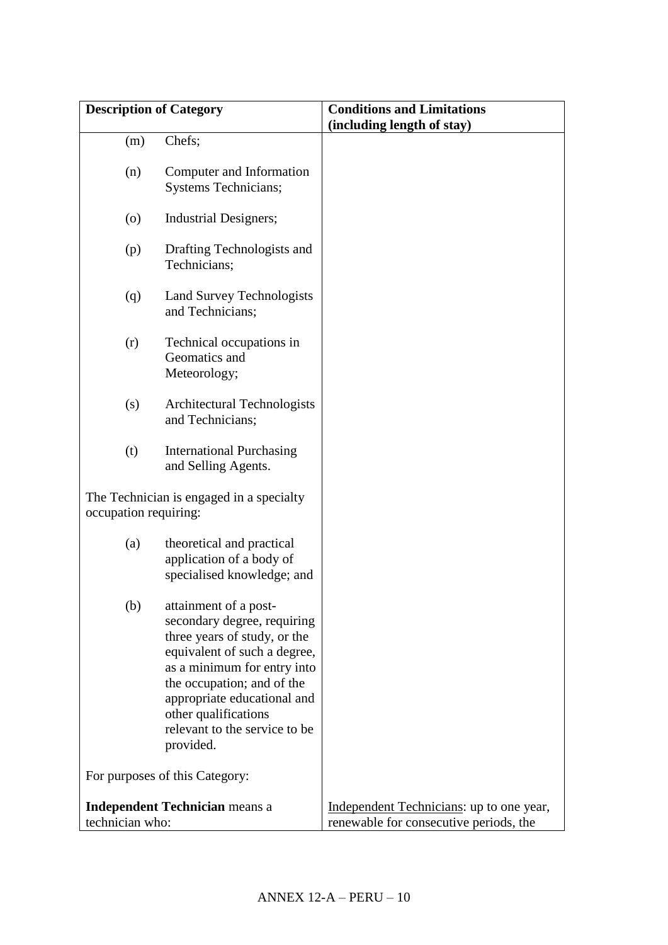| <b>Description of Category</b>        |                                                                                                                                                                                                                                                                                                                          | <b>Conditions and Limitations</b>        |
|---------------------------------------|--------------------------------------------------------------------------------------------------------------------------------------------------------------------------------------------------------------------------------------------------------------------------------------------------------------------------|------------------------------------------|
|                                       |                                                                                                                                                                                                                                                                                                                          | (including length of stay)               |
| (m)                                   | Chefs;                                                                                                                                                                                                                                                                                                                   |                                          |
| (n)                                   | Computer and Information<br><b>Systems Technicians;</b>                                                                                                                                                                                                                                                                  |                                          |
| (0)                                   | <b>Industrial Designers;</b>                                                                                                                                                                                                                                                                                             |                                          |
| (p)                                   | Drafting Technologists and<br>Technicians;                                                                                                                                                                                                                                                                               |                                          |
| (q)                                   | Land Survey Technologists<br>and Technicians;                                                                                                                                                                                                                                                                            |                                          |
| (r)                                   | Technical occupations in<br>Geomatics and<br>Meteorology;                                                                                                                                                                                                                                                                |                                          |
| (s)                                   | Architectural Technologists<br>and Technicians;                                                                                                                                                                                                                                                                          |                                          |
| (t)                                   | <b>International Purchasing</b><br>and Selling Agents.                                                                                                                                                                                                                                                                   |                                          |
| occupation requiring:                 | The Technician is engaged in a specialty                                                                                                                                                                                                                                                                                 |                                          |
| (a)                                   | theoretical and practical<br>application of a body of<br>specialised knowledge; and                                                                                                                                                                                                                                      |                                          |
| (b)                                   | attainment of a post-<br>secondary degree, requiring<br>three years of study, or the<br>equivalent of such a degree,<br>as a minimum for entry into<br>the occupation; and of the<br>appropriate educational and<br>other qualifications<br>relevant to the service to be<br>provided.<br>For purposes of this Category: |                                          |
| <b>Independent Technician means a</b> |                                                                                                                                                                                                                                                                                                                          | Independent Technicians: up to one year, |
| technician who:                       |                                                                                                                                                                                                                                                                                                                          | renewable for consecutive periods, the   |